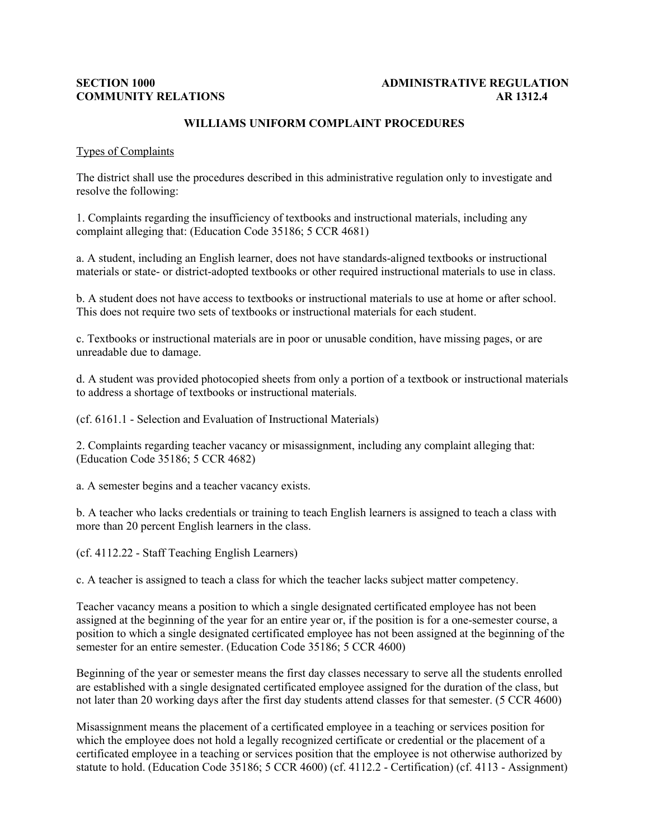## **SECTION 1000 ADMINISTRATIVE REGULATION COMMUNITY RELATIONS AR 1312.4**

# **WILLIAMS UNIFORM COMPLAINT PROCEDURES**

#### Types of Complaints

The district shall use the procedures described in this administrative regulation only to investigate and resolve the following:

1. Complaints regarding the insufficiency of textbooks and instructional materials, including any complaint alleging that: (Education Code 35186; 5 CCR 4681)

a. A student, including an English learner, does not have standards-aligned textbooks or instructional materials or state- or district-adopted textbooks or other required instructional materials to use in class.

b. A student does not have access to textbooks or instructional materials to use at home or after school. This does not require two sets of textbooks or instructional materials for each student.

c. Textbooks or instructional materials are in poor or unusable condition, have missing pages, or are unreadable due to damage.

d. A student was provided photocopied sheets from only a portion of a textbook or instructional materials to address a shortage of textbooks or instructional materials.

(cf. 6161.1 - Selection and Evaluation of Instructional Materials)

2. Complaints regarding teacher vacancy or misassignment, including any complaint alleging that: (Education Code 35186; 5 CCR 4682)

a. A semester begins and a teacher vacancy exists.

b. A teacher who lacks credentials or training to teach English learners is assigned to teach a class with more than 20 percent English learners in the class.

(cf. 4112.22 - Staff Teaching English Learners)

c. A teacher is assigned to teach a class for which the teacher lacks subject matter competency.

Teacher vacancy means a position to which a single designated certificated employee has not been assigned at the beginning of the year for an entire year or, if the position is for a one-semester course, a position to which a single designated certificated employee has not been assigned at the beginning of the semester for an entire semester. (Education Code 35186; 5 CCR 4600)

Beginning of the year or semester means the first day classes necessary to serve all the students enrolled are established with a single designated certificated employee assigned for the duration of the class, but not later than 20 working days after the first day students attend classes for that semester. (5 CCR 4600)

Misassignment means the placement of a certificated employee in a teaching or services position for which the employee does not hold a legally recognized certificate or credential or the placement of a certificated employee in a teaching or services position that the employee is not otherwise authorized by statute to hold. (Education Code 35186; 5 CCR 4600) (cf. 4112.2 - Certification) (cf. 4113 - Assignment)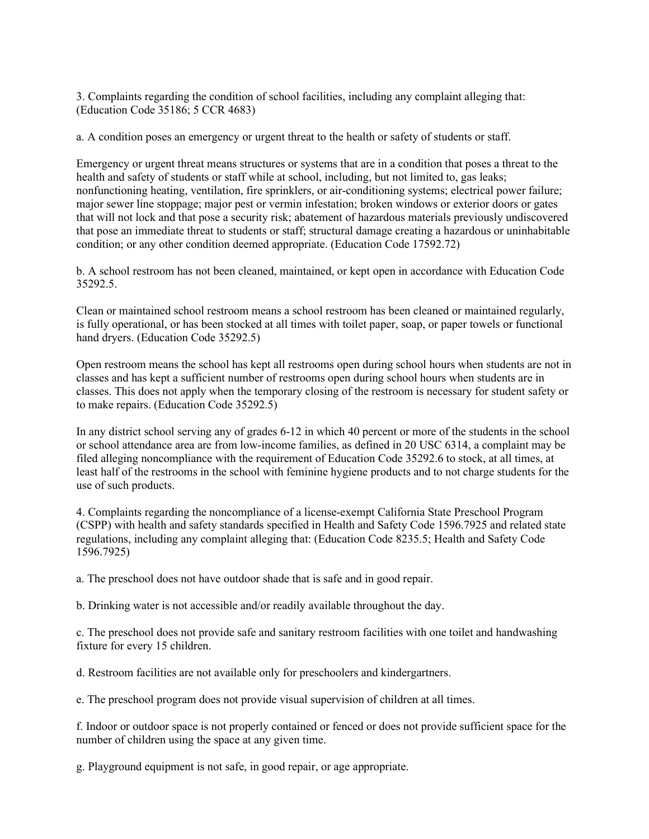3. Complaints regarding the condition of school facilities, including any complaint alleging that: (Education Code 35186; 5 CCR 4683)

a. A condition poses an emergency or urgent threat to the health or safety of students or staff.

Emergency or urgent threat means structures or systems that are in a condition that poses a threat to the health and safety of students or staff while at school, including, but not limited to, gas leaks; nonfunctioning heating, ventilation, fire sprinklers, or air-conditioning systems; electrical power failure; major sewer line stoppage; major pest or vermin infestation; broken windows or exterior doors or gates that will not lock and that pose a security risk; abatement of hazardous materials previously undiscovered that pose an immediate threat to students or staff; structural damage creating a hazardous or uninhabitable condition; or any other condition deemed appropriate. (Education Code 17592.72)

b. A school restroom has not been cleaned, maintained, or kept open in accordance with Education Code 35292.5.

Clean or maintained school restroom means a school restroom has been cleaned or maintained regularly, is fully operational, or has been stocked at all times with toilet paper, soap, or paper towels or functional hand dryers. (Education Code 35292.5)

Open restroom means the school has kept all restrooms open during school hours when students are not in classes and has kept a sufficient number of restrooms open during school hours when students are in classes. This does not apply when the temporary closing of the restroom is necessary for student safety or to make repairs. (Education Code 35292.5)

In any district school serving any of grades 6-12 in which 40 percent or more of the students in the school or school attendance area are from low-income families, as defined in 20 USC 6314, a complaint may be filed alleging noncompliance with the requirement of Education Code 35292.6 to stock, at all times, at least half of the restrooms in the school with feminine hygiene products and to not charge students for the use of such products.

4. Complaints regarding the noncompliance of a license-exempt California State Preschool Program (CSPP) with health and safety standards specified in Health and Safety Code 1596.7925 and related state regulations, including any complaint alleging that: (Education Code 8235.5; Health and Safety Code 1596.7925)

a. The preschool does not have outdoor shade that is safe and in good repair.

b. Drinking water is not accessible and/or readily available throughout the day.

c. The preschool does not provide safe and sanitary restroom facilities with one toilet and handwashing fixture for every 15 children.

d. Restroom facilities are not available only for preschoolers and kindergartners.

e. The preschool program does not provide visual supervision of children at all times.

f. Indoor or outdoor space is not properly contained or fenced or does not provide sufficient space for the number of children using the space at any given time.

g. Playground equipment is not safe, in good repair, or age appropriate.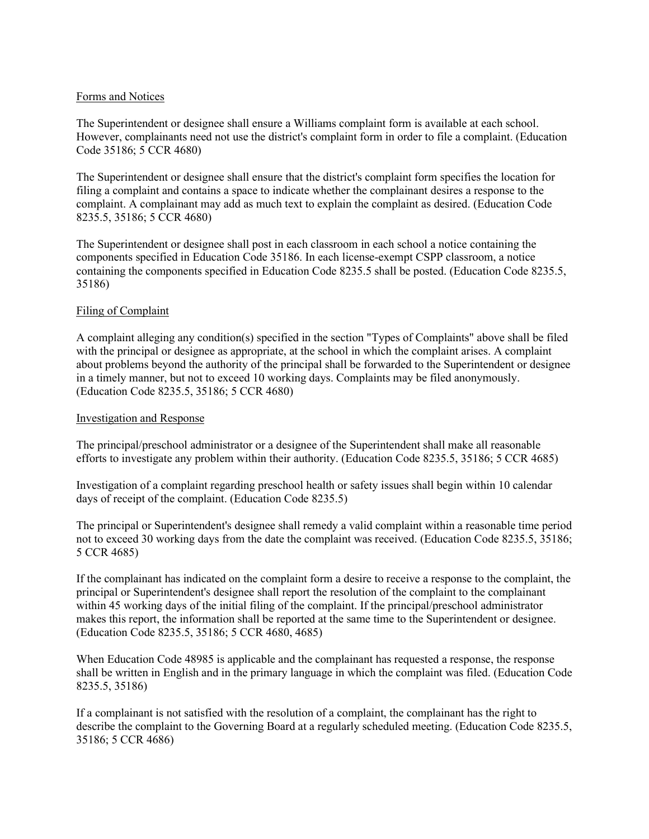## Forms and Notices

The Superintendent or designee shall ensure a Williams complaint form is available at each school. However, complainants need not use the district's complaint form in order to file a complaint. (Education Code 35186; 5 CCR 4680)

The Superintendent or designee shall ensure that the district's complaint form specifies the location for filing a complaint and contains a space to indicate whether the complainant desires a response to the complaint. A complainant may add as much text to explain the complaint as desired. (Education Code 8235.5, 35186; 5 CCR 4680)

The Superintendent or designee shall post in each classroom in each school a notice containing the components specified in Education Code 35186. In each license-exempt CSPP classroom, a notice containing the components specified in Education Code 8235.5 shall be posted. (Education Code 8235.5, 35186)

# Filing of Complaint

A complaint alleging any condition(s) specified in the section "Types of Complaints" above shall be filed with the principal or designee as appropriate, at the school in which the complaint arises. A complaint about problems beyond the authority of the principal shall be forwarded to the Superintendent or designee in a timely manner, but not to exceed 10 working days. Complaints may be filed anonymously. (Education Code 8235.5, 35186; 5 CCR 4680)

## Investigation and Response

The principal/preschool administrator or a designee of the Superintendent shall make all reasonable efforts to investigate any problem within their authority. (Education Code 8235.5, 35186; 5 CCR 4685)

Investigation of a complaint regarding preschool health or safety issues shall begin within 10 calendar days of receipt of the complaint. (Education Code 8235.5)

The principal or Superintendent's designee shall remedy a valid complaint within a reasonable time period not to exceed 30 working days from the date the complaint was received. (Education Code 8235.5, 35186; 5 CCR 4685)

If the complainant has indicated on the complaint form a desire to receive a response to the complaint, the principal or Superintendent's designee shall report the resolution of the complaint to the complainant within 45 working days of the initial filing of the complaint. If the principal/preschool administrator makes this report, the information shall be reported at the same time to the Superintendent or designee. (Education Code 8235.5, 35186; 5 CCR 4680, 4685)

When Education Code 48985 is applicable and the complainant has requested a response, the response shall be written in English and in the primary language in which the complaint was filed. (Education Code 8235.5, 35186)

If a complainant is not satisfied with the resolution of a complaint, the complainant has the right to describe the complaint to the Governing Board at a regularly scheduled meeting. (Education Code 8235.5, 35186; 5 CCR 4686)